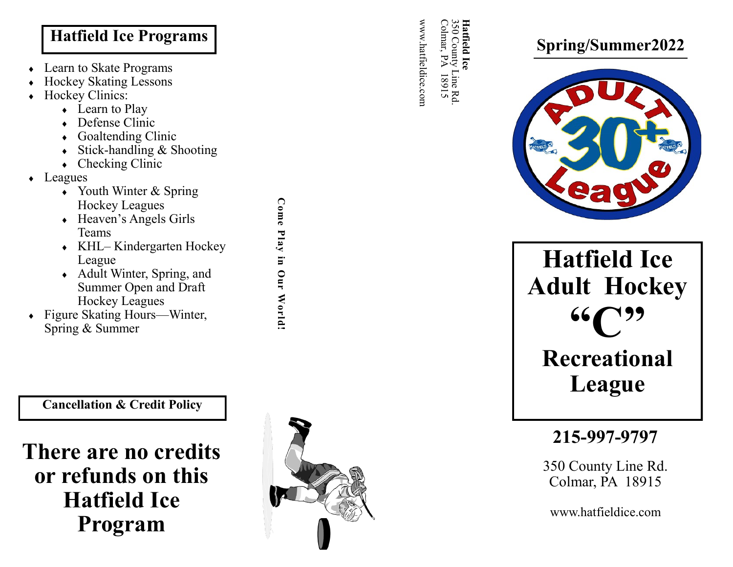## **Hatfield Ice Programs**

- Learn to Skate Programs
- Hockey Skating Lessons
- Hockey Clinics:
	- Learn to Play
	- Defense Clinic
	- Goaltending Clinic
	- Stick-handling & Shooting
	- Checking Clinic
- Leagues
	- Youth Winter & Spring Hockey Leagues
	- Heaven 's Angels Girls Teams
	- KHL-Kindergarten Hockey League
	- Adult Winter, Spring, and Summer Open and Draft Hockey Leagues
- Figure Skating Hours —Winter, Spring & Summer

**Cancellation & Credit Policy**

# **There are no credits or refunds on this Hatfield Ice Program**



**Come Play in Our World!**

Come Play in Our World!

www.hatfieldice.com Colmar, PÁ Colmar, PA 18915 350 County Line Rd. www.hatfieldice.com 50 County Line Rd.<br>. 18915

**Hatfield Ice** 

Hatfield Ice





**Hatfield Ice Adult Hockey "C" Recreational** 

**League**

**215 -997 -9797**

350 County Line Rd. Colmar, PA 18915

www.hatfieldice.com